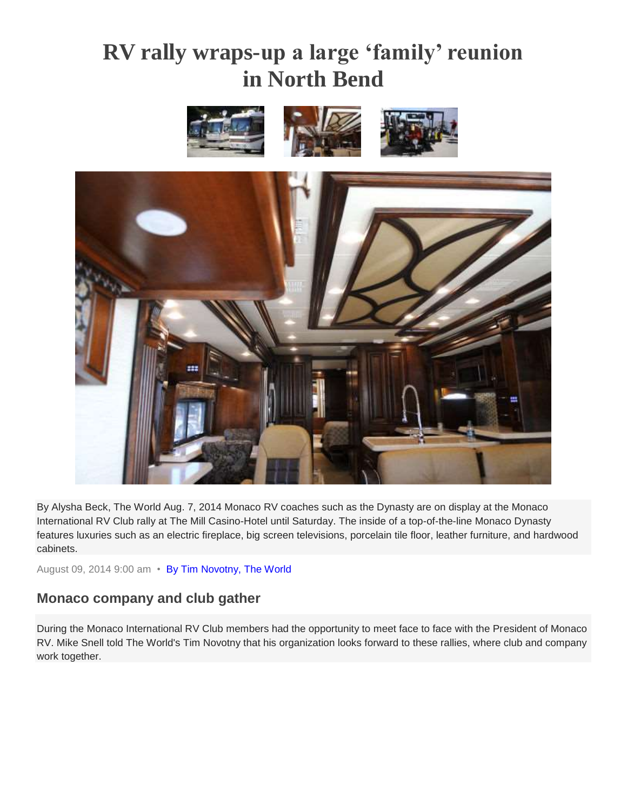## **RV rally wraps-up a large 'family' reunion in North Bend**



By Alysha Beck, The World Aug. 7, 2014 Monaco RV coaches such as the Dynasty are on display at the Monaco International RV Club rally at The Mill Casino-Hotel until Saturday. The inside of a top-of-the-line Monaco Dynasty features luxuries such as an electric fireplace, big screen televisions, porcelain tile floor, leather furniture, and hardwood cabinets.

August 09, 2014 9:00 am • [By Tim Novotny, The World](http://theworldlink.com/search/?l=50&sd=desc&s=start_time&f=html&byline=By%20Tim%20Novotny%2C%20The%20World)

## **Monaco company and club gather**

During the Monaco International RV Club members had the opportunity to meet face to face with the President of Monaco RV. Mike Snell told The World's Tim Novotny that his organization looks forward to these rallies, where club and company work together.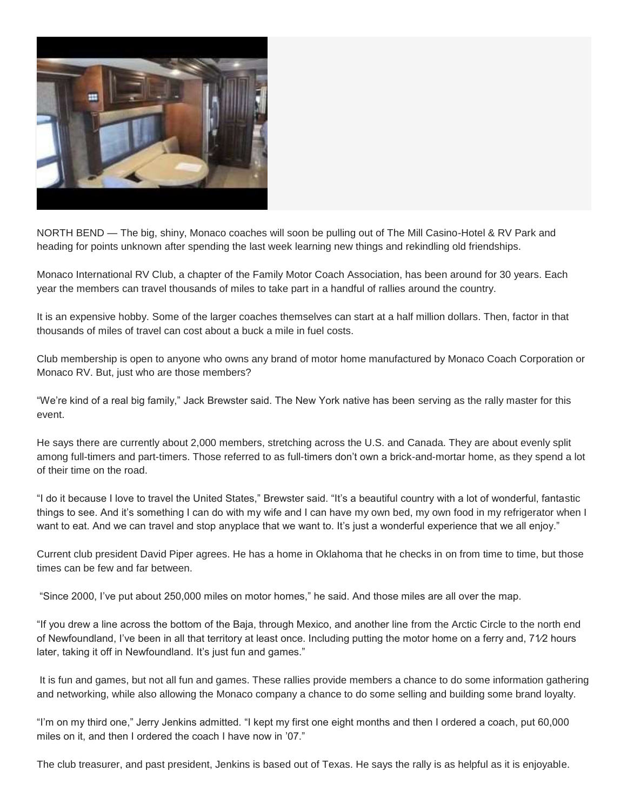

NORTH BEND — The big, shiny, Monaco coaches will soon be pulling out of The Mill Casino-Hotel & RV Park and heading for points unknown after spending the last week learning new things and rekindling old friendships.

Monaco International RV Club, a chapter of the Family Motor Coach Association, has been around for 30 years. Each year the members can travel thousands of miles to take part in a handful of rallies around the country.

It is an expensive hobby. Some of the larger coaches themselves can start at a half million dollars. Then, factor in that thousands of miles of travel can cost about a buck a mile in fuel costs.

Club membership is open to anyone who owns any brand of motor home manufactured by Monaco Coach Corporation or Monaco RV. But, just who are those members?

"We're kind of a real big family," Jack Brewster said. The New York native has been serving as the rally master for this event.

He says there are currently about 2,000 members, stretching across the U.S. and Canada. They are about evenly split among full-timers and part-timers. Those referred to as full-timers don't own a brick-and-mortar home, as they spend a lot of their time on the road.

"I do it because I love to travel the United States," Brewster said. "It's a beautiful country with a lot of wonderful, fantastic things to see. And it's something I can do with my wife and I can have my own bed, my own food in my refrigerator when I want to eat. And we can travel and stop anyplace that we want to. It's just a wonderful experience that we all enjoy."

Current club president David Piper agrees. He has a home in Oklahoma that he checks in on from time to time, but those times can be few and far between.

"Since 2000, I've put about 250,000 miles on motor homes," he said. And those miles are all over the map.

"If you drew a line across the bottom of the Baja, through Mexico, and another line from the Arctic Circle to the north end of Newfoundland, I've been in all that territory at least once. Including putting the motor home on a ferry and, 71⁄2 hours later, taking it off in Newfoundland. It's just fun and games."

It is fun and games, but not all fun and games. These rallies provide members a chance to do some information gathering and networking, while also allowing the Monaco company a chance to do some selling and building some brand loyalty.

"I'm on my third one," Jerry Jenkins admitted. "I kept my first one eight months and then I ordered a coach, put 60,000 miles on it, and then I ordered the coach I have now in '07."

The club treasurer, and past president, Jenkins is based out of Texas. He says the rally is as helpful as it is enjoyable.